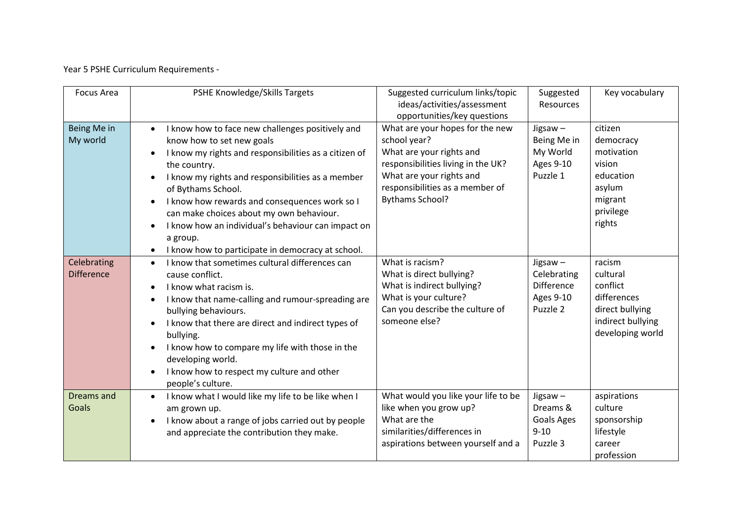Year 5 PSHE Curriculum Requirements -

| <b>Focus Area</b>                | <b>PSHE Knowledge/Skills Targets</b>                                                                                                                                                                                                                                                                                                                                                                                                                                            | Suggested curriculum links/topic<br>ideas/activities/assessment<br>opportunities/key questions                                                                                                             | Suggested<br><b>Resources</b>                                                  | Key vocabulary                                                                                            |
|----------------------------------|---------------------------------------------------------------------------------------------------------------------------------------------------------------------------------------------------------------------------------------------------------------------------------------------------------------------------------------------------------------------------------------------------------------------------------------------------------------------------------|------------------------------------------------------------------------------------------------------------------------------------------------------------------------------------------------------------|--------------------------------------------------------------------------------|-----------------------------------------------------------------------------------------------------------|
| Being Me in<br>My world          | I know how to face new challenges positively and<br>$\bullet$<br>know how to set new goals<br>I know my rights and responsibilities as a citizen of<br>$\bullet$<br>the country.<br>I know my rights and responsibilities as a member<br>of Bythams School.<br>I know how rewards and consequences work so I<br>can make choices about my own behaviour.<br>I know how an individual's behaviour can impact on<br>a group.<br>I know how to participate in democracy at school. | What are your hopes for the new<br>school year?<br>What are your rights and<br>responsibilities living in the UK?<br>What are your rights and<br>responsibilities as a member of<br><b>Bythams School?</b> | Jigsaw-<br>Being Me in<br>My World<br><b>Ages 9-10</b><br>Puzzle 1             | citizen<br>democracy<br>motivation<br>vision<br>education<br>asylum<br>migrant<br>privilege<br>rights     |
| Celebrating<br><b>Difference</b> | I know that sometimes cultural differences can<br>$\bullet$<br>cause conflict.<br>I know what racism is.<br>$\bullet$<br>I know that name-calling and rumour-spreading are<br>$\bullet$<br>bullying behaviours.<br>I know that there are direct and indirect types of<br>$\bullet$<br>bullying.<br>I know how to compare my life with those in the<br>developing world.<br>I know how to respect my culture and other<br>people's culture.                                      | What is racism?<br>What is direct bullying?<br>What is indirect bullying?<br>What is your culture?<br>Can you describe the culture of<br>someone else?                                                     | Jigsaw $-$<br>Celebrating<br><b>Difference</b><br><b>Ages 9-10</b><br>Puzzle 2 | racism<br>cultural<br>conflict<br>differences<br>direct bullying<br>indirect bullying<br>developing world |
| Dreams and<br>Goals              | I know what I would like my life to be like when I<br>$\bullet$<br>am grown up.<br>I know about a range of jobs carried out by people<br>$\bullet$<br>and appreciate the contribution they make.                                                                                                                                                                                                                                                                                | What would you like your life to be<br>like when you grow up?<br>What are the<br>similarities/differences in<br>aspirations between yourself and a                                                         | Jigsaw-<br>Dreams &<br>Goals Ages<br>$9 - 10$<br>Puzzle 3                      | aspirations<br>culture<br>sponsorship<br>lifestyle<br>career<br>profession                                |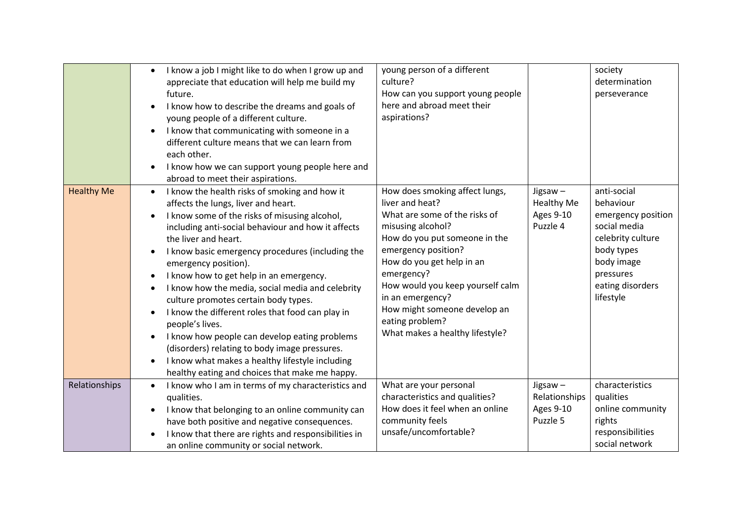|                   | I know a job I might like to do when I grow up and<br>$\bullet$<br>appreciate that education will help me build my<br>future.<br>I know how to describe the dreams and goals of<br>young people of a different culture.<br>I know that communicating with someone in a<br>$\bullet$<br>different culture means that we can learn from<br>each other.<br>I know how we can support young people here and<br>abroad to meet their aspirations.                                                                                                                                                                                                                                                                                                                | young person of a different<br>culture?<br>How can you support young people<br>here and abroad meet their<br>aspirations?                                                                                                                                                                                                                                |                                                                 | society<br>determination<br>perseverance                                                                                                                      |
|-------------------|-------------------------------------------------------------------------------------------------------------------------------------------------------------------------------------------------------------------------------------------------------------------------------------------------------------------------------------------------------------------------------------------------------------------------------------------------------------------------------------------------------------------------------------------------------------------------------------------------------------------------------------------------------------------------------------------------------------------------------------------------------------|----------------------------------------------------------------------------------------------------------------------------------------------------------------------------------------------------------------------------------------------------------------------------------------------------------------------------------------------------------|-----------------------------------------------------------------|---------------------------------------------------------------------------------------------------------------------------------------------------------------|
| <b>Healthy Me</b> | I know the health risks of smoking and how it<br>$\bullet$<br>affects the lungs, liver and heart.<br>I know some of the risks of misusing alcohol,<br>$\bullet$<br>including anti-social behaviour and how it affects<br>the liver and heart.<br>I know basic emergency procedures (including the<br>emergency position).<br>I know how to get help in an emergency.<br>I know how the media, social media and celebrity<br>culture promotes certain body types.<br>I know the different roles that food can play in<br>people's lives.<br>I know how people can develop eating problems<br>$\bullet$<br>(disorders) relating to body image pressures.<br>I know what makes a healthy lifestyle including<br>healthy eating and choices that make me happy. | How does smoking affect lungs,<br>liver and heat?<br>What are some of the risks of<br>misusing alcohol?<br>How do you put someone in the<br>emergency position?<br>How do you get help in an<br>emergency?<br>How would you keep yourself calm<br>in an emergency?<br>How might someone develop an<br>eating problem?<br>What makes a healthy lifestyle? | Jigsaw $-$<br><b>Healthy Me</b><br><b>Ages 9-10</b><br>Puzzle 4 | anti-social<br>behaviour<br>emergency position<br>social media<br>celebrity culture<br>body types<br>body image<br>pressures<br>eating disorders<br>lifestyle |
| Relationships     | I know who I am in terms of my characteristics and<br>qualities.<br>I know that belonging to an online community can<br>$\bullet$<br>have both positive and negative consequences.<br>I know that there are rights and responsibilities in<br>an online community or social network.                                                                                                                                                                                                                                                                                                                                                                                                                                                                        | What are your personal<br>characteristics and qualities?<br>How does it feel when an online<br>community feels<br>unsafe/uncomfortable?                                                                                                                                                                                                                  | Jigsaw $-$<br>Relationships<br>Ages 9-10<br>Puzzle 5            | characteristics<br>qualities<br>online community<br>rights<br>responsibilities<br>social network                                                              |